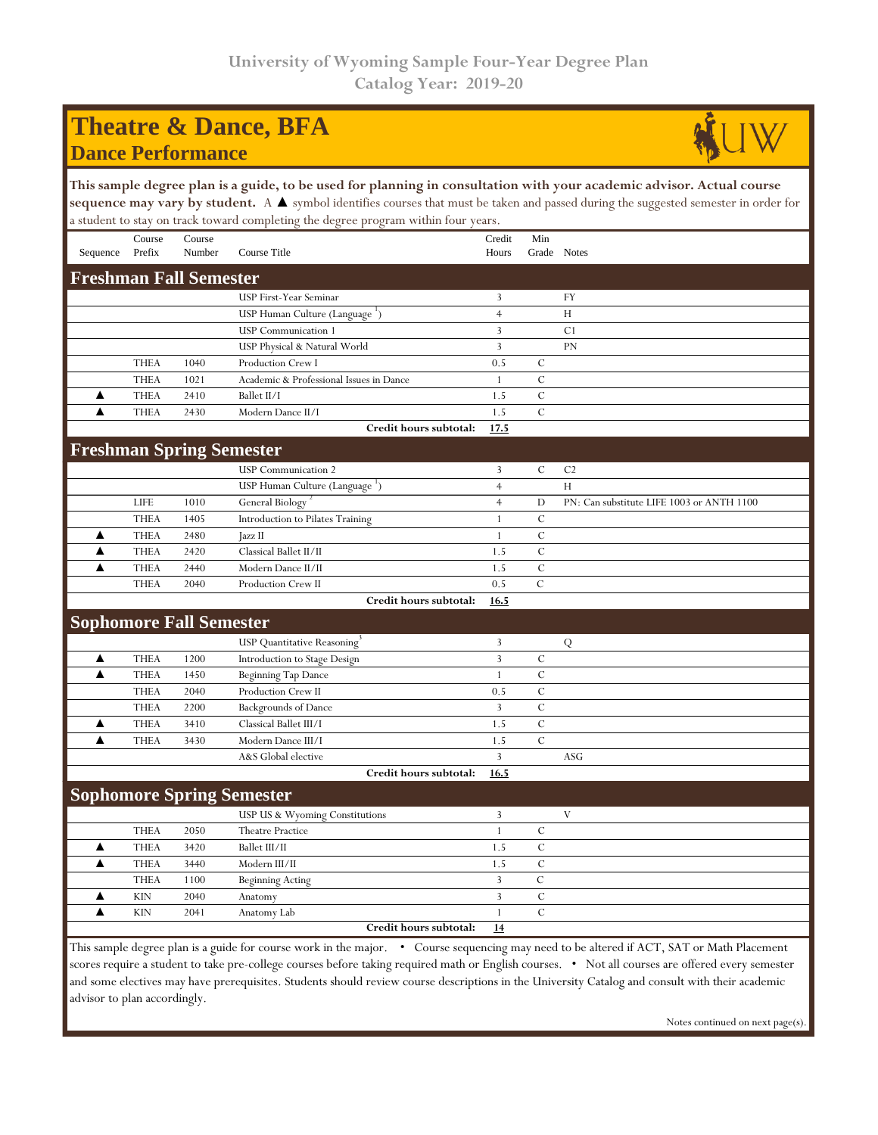## **Theatre & Dance, BFA Dance Performance**



## **This sample degree plan is a guide, to be used for planning in consultation with your academic advisor. Actual course**  sequence may vary by student. A ▲ symbol identifies courses that must be taken and passed during the suggested semester in order for a student to stay on track toward completing the degree program within four years.

| Sequence                                                                                                                                  | Course<br>Prefix | Course<br>Number | Course Title                               | Credit<br>Hours         | Min<br>Grade Notes |                                           |  |  |  |
|-------------------------------------------------------------------------------------------------------------------------------------------|------------------|------------------|--------------------------------------------|-------------------------|--------------------|-------------------------------------------|--|--|--|
| <b>Freshman Fall Semester</b>                                                                                                             |                  |                  |                                            |                         |                    |                                           |  |  |  |
|                                                                                                                                           |                  |                  | USP First-Year Seminar                     | 3                       |                    | FY                                        |  |  |  |
|                                                                                                                                           |                  |                  | USP Human Culture (Language ')             | $\overline{4}$          |                    | H                                         |  |  |  |
|                                                                                                                                           |                  |                  | <b>USP</b> Communication 1                 | $\overline{3}$          |                    | C <sub>1</sub>                            |  |  |  |
|                                                                                                                                           |                  |                  | USP Physical & Natural World               | 3                       |                    | <b>PN</b>                                 |  |  |  |
|                                                                                                                                           | <b>THEA</b>      | 1040             | Production Crew I                          | 0.5                     | $\mathcal{C}$      |                                           |  |  |  |
|                                                                                                                                           | <b>THEA</b>      | 1021             | Academic & Professional Issues in Dance    | $\mathbf{1}$            | $\mathcal{C}$      |                                           |  |  |  |
| ▲                                                                                                                                         | <b>THEA</b>      | 2410             | Ballet II/I                                | 1.5                     | $\mathcal{C}$      |                                           |  |  |  |
| ▲                                                                                                                                         | <b>THEA</b>      | 2430             | Modern Dance II/I                          | 1.5                     | $\cal C$           |                                           |  |  |  |
|                                                                                                                                           |                  |                  | Credit hours subtotal:                     | 17.5                    |                    |                                           |  |  |  |
| <b>Freshman Spring Semester</b>                                                                                                           |                  |                  |                                            |                         |                    |                                           |  |  |  |
|                                                                                                                                           |                  |                  | <b>USP</b> Communication 2                 | 3                       | $\mathcal{C}$      | C <sub>2</sub>                            |  |  |  |
|                                                                                                                                           |                  |                  | USP Human Culture (Language <sup>1</sup> ) | $\overline{4}$          |                    | H                                         |  |  |  |
|                                                                                                                                           | <b>LIFE</b>      | 1010             | General Biology                            | $\overline{4}$          | D                  | PN: Can substitute LIFE 1003 or ANTH 1100 |  |  |  |
|                                                                                                                                           | <b>THEA</b>      | 1405             | Introduction to Pilates Training           | $\mathbf{1}$            | $\cal C$           |                                           |  |  |  |
| ▲                                                                                                                                         | <b>THEA</b>      | 2480             | Jazz II                                    | $\mathbf{1}$            | $\mathcal{C}$      |                                           |  |  |  |
| ▲                                                                                                                                         | <b>THEA</b>      | 2420             | Classical Ballet II/II                     | 1.5                     | $\mathcal{C}$      |                                           |  |  |  |
| ▲                                                                                                                                         | <b>THEA</b>      | 2440             | Modern Dance II/II                         | 1.5                     | $\mathcal{C}$      |                                           |  |  |  |
|                                                                                                                                           | <b>THEA</b>      | 2040             | Production Crew II                         | 0.5                     | $\mathcal{C}$      |                                           |  |  |  |
|                                                                                                                                           |                  |                  | Credit hours subtotal:                     | 16.5                    |                    |                                           |  |  |  |
| <b>Sophomore Fall Semester</b>                                                                                                            |                  |                  |                                            |                         |                    |                                           |  |  |  |
|                                                                                                                                           |                  |                  | <b>USP</b> Quantitative Reasoning          | 3                       |                    | Q                                         |  |  |  |
| ▲                                                                                                                                         | <b>THEA</b>      | 1200             | Introduction to Stage Design               | $\overline{3}$          | $\mathcal{C}$      |                                           |  |  |  |
| ▲                                                                                                                                         | <b>THEA</b>      | 1450             | Beginning Tap Dance                        | $\mathbf{1}$            | $\mathcal{C}$      |                                           |  |  |  |
|                                                                                                                                           | <b>THEA</b>      | 2040             | Production Crew II                         | 0.5                     | $\mathcal{C}$      |                                           |  |  |  |
|                                                                                                                                           | <b>THEA</b>      | 2200             | <b>Backgrounds of Dance</b>                | 3                       | $\mathcal{C}$      |                                           |  |  |  |
| ▲                                                                                                                                         | <b>THEA</b>      | 3410             | Classical Ballet III/I                     | 1.5                     | $\mathcal{C}$      |                                           |  |  |  |
| ▲                                                                                                                                         | <b>THEA</b>      | 3430             | Modern Dance III/I                         | 1.5                     | $\mathcal{C}$      |                                           |  |  |  |
|                                                                                                                                           |                  |                  | A&S Global elective                        | 3                       |                    | <b>ASG</b>                                |  |  |  |
|                                                                                                                                           |                  |                  | Credit hours subtotal:                     | 16.5                    |                    |                                           |  |  |  |
| <b>Sophomore Spring Semester</b>                                                                                                          |                  |                  |                                            |                         |                    |                                           |  |  |  |
|                                                                                                                                           |                  |                  | USP US & Wyoming Constitutions             | 3                       |                    | $\ensuremath{\mathbf{V}}$                 |  |  |  |
|                                                                                                                                           | <b>THEA</b>      | 2050             | <b>Theatre Practice</b>                    | $\mathbf{1}$            | $\mathcal{C}$      |                                           |  |  |  |
| ▲                                                                                                                                         | <b>THEA</b>      | 3420             | Ballet III/II                              | 1.5                     | $\mathcal{C}$      |                                           |  |  |  |
| ▲                                                                                                                                         | <b>THEA</b>      | 3440             | Modern III/II                              | 1.5                     | $\mathcal{C}$      |                                           |  |  |  |
|                                                                                                                                           | <b>THEA</b>      | 1100             | <b>Beginning Acting</b>                    | $\overline{\mathbf{3}}$ | $\mathcal{C}$      |                                           |  |  |  |
| ▲                                                                                                                                         | <b>KIN</b>       | 2040             | Anatomy                                    | $\overline{\mathbf{3}}$ | $\mathcal{C}$      |                                           |  |  |  |
| $\blacktriangle$                                                                                                                          | <b>KIN</b>       | 2041             | Anatomy Lab                                | $\mathbf{1}$            | $\mathcal{C}$      |                                           |  |  |  |
|                                                                                                                                           |                  |                  | Credit hours subtotal:                     | 14                      |                    |                                           |  |  |  |
| This sample degree plan is a guide for course work in the major. • Course sequencing may need to be altered if ACT, SAT or Math Placement |                  |                  |                                            |                         |                    |                                           |  |  |  |

scores require a student to take pre-college courses before taking required math or English courses. • Not all courses are offered every semester and some electives may have prerequisites. Students should review course descriptions in the University Catalog and consult with their academic advisor to plan accordingly.

Notes continued on next page(s).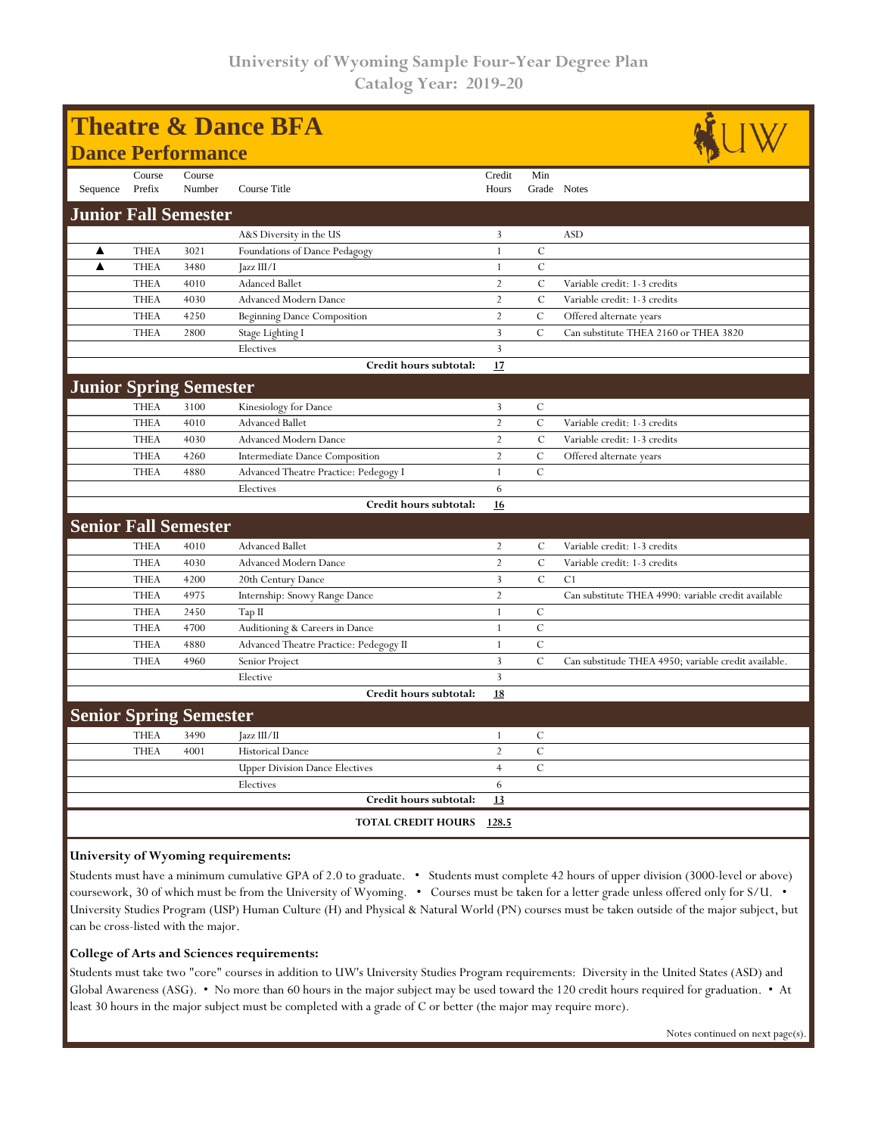| <b>Theatre &amp; Dance BFA</b> |             |                               |                                        |                |                |                                                      |  |  |  |
|--------------------------------|-------------|-------------------------------|----------------------------------------|----------------|----------------|------------------------------------------------------|--|--|--|
|                                |             | <b>Dance Performance</b>      |                                        |                |                |                                                      |  |  |  |
|                                | Course      | Course                        |                                        | Credit         | Min            |                                                      |  |  |  |
| Sequence                       | Prefix      | Number                        | Course Title                           | Hours          |                | Grade Notes                                          |  |  |  |
| <b>Junior Fall Semester</b>    |             |                               |                                        |                |                |                                                      |  |  |  |
|                                |             |                               | A&S Diversity in the US                | 3              |                | <b>ASD</b>                                           |  |  |  |
| ▲                              | <b>THEA</b> | 3021                          | Foundations of Dance Pedagogy          | $\mathbf{1}$   | $\mathcal{C}$  |                                                      |  |  |  |
| ▲                              | <b>THEA</b> | 3480                          | [azz III/I]                            | $\mathbf{1}$   | $\mathbf C$    |                                                      |  |  |  |
|                                | <b>THEA</b> | 4010                          | <b>Adanced Ballet</b>                  | $\overline{2}$ | $\overline{C}$ | Variable credit: 1-3 credits                         |  |  |  |
|                                | <b>THEA</b> | 4030                          | <b>Advanced Modern Dance</b>           | $\overline{2}$ | $\mathcal{C}$  | Variable credit: 1-3 credits                         |  |  |  |
|                                | <b>THEA</b> | 4250                          | <b>Beginning Dance Composition</b>     | $\overline{2}$ | $\mathcal C$   | Offered alternate years                              |  |  |  |
|                                | <b>THEA</b> | 2800                          | Stage Lighting I                       | $\overline{3}$ | $\mathcal{C}$  | Can substitute THEA 2160 or THEA 3820                |  |  |  |
|                                |             |                               | Electives                              | $\overline{3}$ |                |                                                      |  |  |  |
|                                |             |                               | Credit hours subtotal:                 | 17             |                |                                                      |  |  |  |
|                                |             | <b>Junior Spring Semester</b> |                                        |                |                |                                                      |  |  |  |
|                                | <b>THEA</b> | 3100                          | Kinesiology for Dance                  | $\overline{3}$ | $\mathcal{C}$  |                                                      |  |  |  |
|                                | <b>THEA</b> | 4010                          | <b>Advanced Ballet</b>                 | $\overline{2}$ | $\mathbf C$    | Variable credit: 1-3 credits                         |  |  |  |
|                                | <b>THEA</b> | 4030                          | <b>Advanced Modern Dance</b>           | $\overline{2}$ | $\overline{C}$ | Variable credit: 1-3 credits                         |  |  |  |
|                                | <b>THEA</b> | 4260                          | Intermediate Dance Composition         | $\overline{2}$ | $\mathcal{C}$  | Offered alternate years                              |  |  |  |
|                                | <b>THEA</b> | 4880                          | Advanced Theatre Practice: Pedegogy I  | $\mathbf{1}$   | $\mathcal{C}$  |                                                      |  |  |  |
|                                |             |                               | Electives                              | 6              |                |                                                      |  |  |  |
|                                |             |                               | Credit hours subtotal:                 | 16             |                |                                                      |  |  |  |
|                                |             | <b>Senior Fall Semester</b>   |                                        |                |                |                                                      |  |  |  |
|                                | <b>THEA</b> | 4010                          | <b>Advanced Ballet</b>                 | $\overline{2}$ | C              | Variable credit: 1-3 credits                         |  |  |  |
|                                | <b>THEA</b> | 4030                          | <b>Advanced Modern Dance</b>           | $\overline{2}$ | $\mathcal{C}$  | Variable credit: 1-3 credits                         |  |  |  |
|                                | <b>THEA</b> | 4200                          | 20th Century Dance                     | $\overline{3}$ | $\overline{C}$ | C <sub>1</sub>                                       |  |  |  |
|                                | <b>THEA</b> | 4975                          | Internship: Snowy Range Dance          | $\overline{2}$ |                | Can substitute THEA 4990: variable credit available  |  |  |  |
|                                | <b>THEA</b> | 2450                          | Tap II                                 | $\mathbf{1}$   | $\mathcal{C}$  |                                                      |  |  |  |
|                                | <b>THEA</b> | 4700                          | Auditioning & Careers in Dance         | $\mathbf{1}$   | $\mathcal{C}$  |                                                      |  |  |  |
|                                | <b>THEA</b> | 4880                          | Advanced Theatre Practice: Pedegogy II | $\overline{1}$ | $\mathbf C$    |                                                      |  |  |  |
|                                | <b>THEA</b> | 4960                          | Senior Project                         | $\overline{3}$ | $\mathcal{C}$  | Can substitude THEA 4950; variable credit available. |  |  |  |
|                                |             |                               | Elective                               | $\overline{3}$ |                |                                                      |  |  |  |
|                                |             |                               | Credit hours subtotal:                 | 18             |                |                                                      |  |  |  |
|                                |             | <b>Senior Spring Semester</b> |                                        |                |                |                                                      |  |  |  |
|                                | <b>THEA</b> | 3490                          | Jazz III/II                            | $\mathbf{1}$   | $\mathcal{C}$  |                                                      |  |  |  |
|                                | <b>THEA</b> | 4001                          | <b>Historical Dance</b>                | $\overline{2}$ | $\cal C$       |                                                      |  |  |  |
|                                |             |                               | <b>Upper Division Dance Electives</b>  | $\overline{4}$ | $\mathcal{C}$  |                                                      |  |  |  |
|                                |             |                               | Electives                              | 6              |                |                                                      |  |  |  |
|                                |             |                               | Credit hours subtotal:                 | 13             |                |                                                      |  |  |  |
|                                |             |                               | <b>TOTAL CREDIT HOURS</b>              | 128.5          |                |                                                      |  |  |  |
|                                |             |                               |                                        |                |                |                                                      |  |  |  |

### **University of Wyoming requirements:**

Students must have a minimum cumulative GPA of 2.0 to graduate. • Students must complete 42 hours of upper division (3000-level or above) coursework, 30 of which must be from the University of Wyoming. • Courses must be taken for a letter grade unless offered only for S/U. • University Studies Program (USP) Human Culture (H) and Physical & Natural World (PN) courses must be taken outside of the major subject, but can be cross-listed with the major.

#### **College of Arts and Sciences requirements:**

Students must take two "core" courses in addition to UW's University Studies Program requirements: Diversity in the United States (ASD) and Global Awareness (ASG). • No more than 60 hours in the major subject may be used toward the 120 credit hours required for graduation. • At least 30 hours in the major subject must be completed with a grade of C or better (the major may require more).